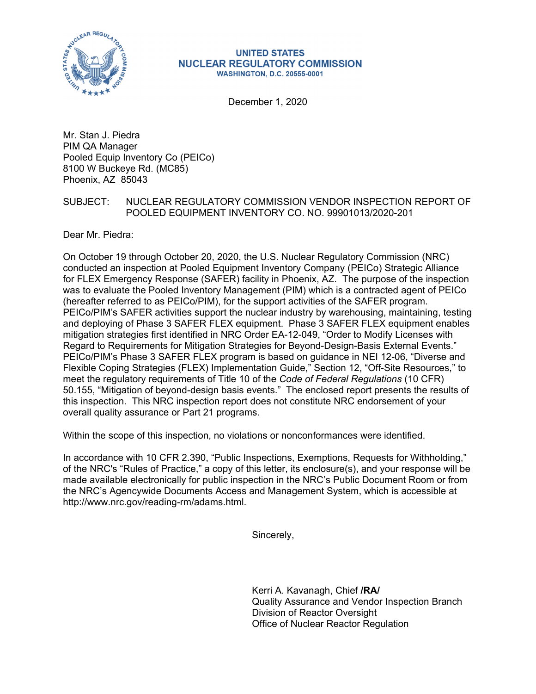

#### **UNITED STATES NUCLEAR REGULATORY COMMISSION WASHINGTON, D.C. 20555-0001**

December 1, 2020

Mr. Stan J. Piedra PIM QA Manager Pooled Equip Inventory Co (PEICo) 8100 W Buckeye Rd. (MC85) Phoenix, AZ 85043

## SUBJECT: NUCLEAR REGULATORY COMMISSION VENDOR INSPECTION REPORT OF POOLED EQUIPMENT INVENTORY CO. NO. 99901013/2020-201

Dear Mr. Piedra:

On October 19 through October 20, 2020, the U.S. Nuclear Regulatory Commission (NRC) conducted an inspection at Pooled Equipment Inventory Company (PEICo) Strategic Alliance for FLEX Emergency Response (SAFER) facility in Phoenix, AZ. The purpose of the inspection was to evaluate the Pooled Inventory Management (PIM) which is a contracted agent of PEICo (hereafter referred to as PEICo/PIM), for the support activities of the SAFER program. PEICo/PIM's SAFER activities support the nuclear industry by warehousing, maintaining, testing and deploying of Phase 3 SAFER FLEX equipment. Phase 3 SAFER FLEX equipment enables mitigation strategies first identified in NRC Order EA-12-049, "Order to Modify Licenses with Regard to Requirements for Mitigation Strategies for Beyond-Design-Basis External Events." PEICo/PIM's Phase 3 SAFER FLEX program is based on guidance in NEI 12-06, "Diverse and Flexible Coping Strategies (FLEX) Implementation Guide," Section 12, "Off-Site Resources," to meet the regulatory requirements of Title 10 of the *Code of Federal Regulations* (10 CFR) 50.155, "Mitigation of beyond-design basis events." The enclosed report presents the results of this inspection. This NRC inspection report does not constitute NRC endorsement of your overall quality assurance or Part 21 programs.

Within the scope of this inspection, no violations or nonconformances were identified.

In accordance with 10 CFR 2.390, "Public Inspections, Exemptions, Requests for Withholding," of the NRC's "Rules of Practice," a copy of this letter, its enclosure(s), and your response will be made available electronically for public inspection in the NRC's Public Document Room or from the NRC's Agencywide Documents Access and Management System, which is accessible at http://www.nrc.gov/reading-rm/adams.html.

Sincerely,

Kerri A. Kavanagh, Chief **/RA/**  Quality Assurance and Vendor Inspection Branch Division of Reactor Oversight Office of Nuclear Reactor Regulation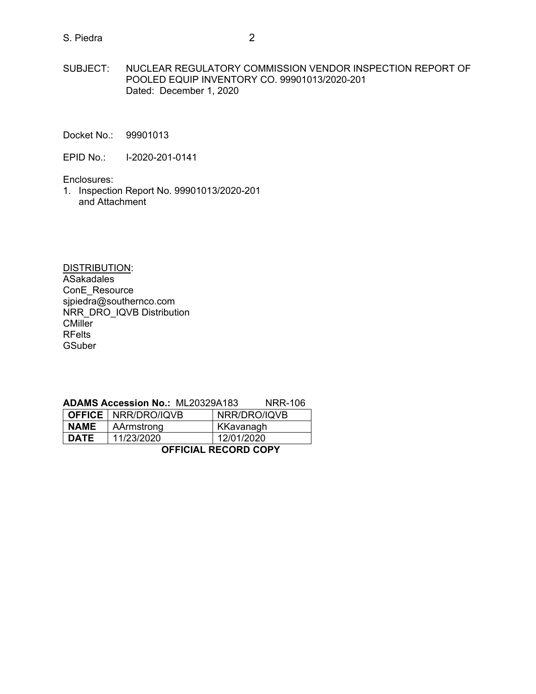## S. Piedra 2

- Docket No.: 99901013
- EPID No.: I-2020-201-0141

Enclosures:

1. Inspection Report No. 99901013/2020-201 and Attachment

DISTRIBUTION: ASakadales ConE\_Resource sjpiedra@southernco.com NRR\_DRO\_IQVB Distribution **CMiller** RFelts GSuber

### **ADAMS Accession No.:** ML20329A183 NRR-106

|                             | <b>OFFICE   NRR/DRO/IQVB</b> | NRR/DRO/IQVB |  |  |
|-----------------------------|------------------------------|--------------|--|--|
| <b>NAME</b><br>AArmstrong   |                              | KKavanagh    |  |  |
| <b>DATE</b>                 | 11/23/2020                   | 12/01/2020   |  |  |
| <b>OFFICIAL RECORD COPY</b> |                              |              |  |  |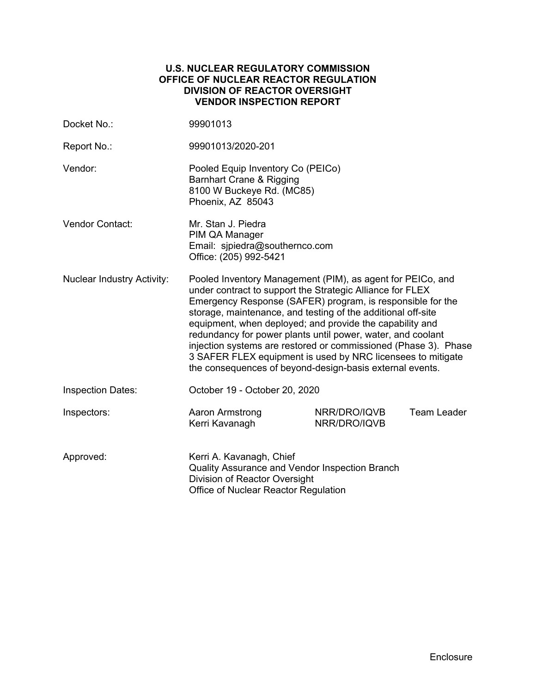## **U.S. NUCLEAR REGULATORY COMMISSION OFFICE OF NUCLEAR REACTOR REGULATION DIVISION OF REACTOR OVERSIGHT VENDOR INSPECTION REPORT**

| Docket No.:                       | 99901013                                                                                                                                                                                                                                                                                                                                                                                                                                                                                                                                                                       |                              |                    |  |  |
|-----------------------------------|--------------------------------------------------------------------------------------------------------------------------------------------------------------------------------------------------------------------------------------------------------------------------------------------------------------------------------------------------------------------------------------------------------------------------------------------------------------------------------------------------------------------------------------------------------------------------------|------------------------------|--------------------|--|--|
| Report No.:                       | 99901013/2020-201                                                                                                                                                                                                                                                                                                                                                                                                                                                                                                                                                              |                              |                    |  |  |
| Vendor:                           | Pooled Equip Inventory Co (PEICo)<br><b>Barnhart Crane &amp; Rigging</b><br>8100 W Buckeye Rd. (MC85)<br>Phoenix, AZ 85043                                                                                                                                                                                                                                                                                                                                                                                                                                                     |                              |                    |  |  |
| <b>Vendor Contact:</b>            | Mr. Stan J. Piedra<br>PIM QA Manager<br>Email: sipiedra@southernco.com<br>Office: (205) 992-5421                                                                                                                                                                                                                                                                                                                                                                                                                                                                               |                              |                    |  |  |
| <b>Nuclear Industry Activity:</b> | Pooled Inventory Management (PIM), as agent for PEICo, and<br>under contract to support the Strategic Alliance for FLEX<br>Emergency Response (SAFER) program, is responsible for the<br>storage, maintenance, and testing of the additional off-site<br>equipment, when deployed; and provide the capability and<br>redundancy for power plants until power, water, and coolant<br>injection systems are restored or commissioned (Phase 3). Phase<br>3 SAFER FLEX equipment is used by NRC licensees to mitigate<br>the consequences of beyond-design-basis external events. |                              |                    |  |  |
| <b>Inspection Dates:</b>          | October 19 - October 20, 2020                                                                                                                                                                                                                                                                                                                                                                                                                                                                                                                                                  |                              |                    |  |  |
| Inspectors:                       | Aaron Armstrong<br>Kerri Kavanagh                                                                                                                                                                                                                                                                                                                                                                                                                                                                                                                                              | NRR/DRO/IQVB<br>NRR/DRO/IQVB | <b>Team Leader</b> |  |  |
| Approved:                         | Kerri A. Kavanagh, Chief<br>Quality Assurance and Vendor Inspection Branch<br>Division of Reactor Oversight<br>Office of Nuclear Reactor Regulation                                                                                                                                                                                                                                                                                                                                                                                                                            |                              |                    |  |  |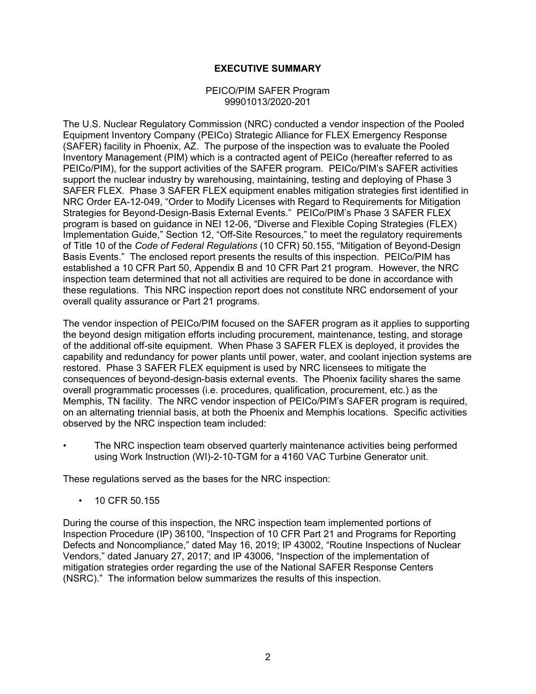## **EXECUTIVE SUMMARY**

### PEICO/PIM SAFER Program 99901013/2020-201

The U.S. Nuclear Regulatory Commission (NRC) conducted a vendor inspection of the Pooled Equipment Inventory Company (PEICo) Strategic Alliance for FLEX Emergency Response (SAFER) facility in Phoenix, AZ. The purpose of the inspection was to evaluate the Pooled Inventory Management (PIM) which is a contracted agent of PEICo (hereafter referred to as PEICo/PIM), for the support activities of the SAFER program. PEICo/PIM's SAFER activities support the nuclear industry by warehousing, maintaining, testing and deploying of Phase 3 SAFER FLEX. Phase 3 SAFER FLEX equipment enables mitigation strategies first identified in NRC Order EA-12-049, "Order to Modify Licenses with Regard to Requirements for Mitigation Strategies for Beyond-Design-Basis External Events." PEICo/PIM's Phase 3 SAFER FLEX program is based on guidance in NEI 12-06, "Diverse and Flexible Coping Strategies (FLEX) Implementation Guide," Section 12, "Off-Site Resources," to meet the regulatory requirements of Title 10 of the *Code of Federal Regulations* (10 CFR) 50.155, "Mitigation of Beyond-Design Basis Events." The enclosed report presents the results of this inspection. PEICo/PIM has established a 10 CFR Part 50, Appendix B and 10 CFR Part 21 program. However, the NRC inspection team determined that not all activities are required to be done in accordance with these regulations. This NRC inspection report does not constitute NRC endorsement of your overall quality assurance or Part 21 programs.

The vendor inspection of PEICo/PIM focused on the SAFER program as it applies to supporting the beyond design mitigation efforts including procurement, maintenance, testing, and storage of the additional off-site equipment. When Phase 3 SAFER FLEX is deployed, it provides the capability and redundancy for power plants until power, water, and coolant injection systems are restored. Phase 3 SAFER FLEX equipment is used by NRC licensees to mitigate the consequences of beyond-design-basis external events. The Phoenix facility shares the same overall programmatic processes (i.e. procedures, qualification, procurement, etc.) as the Memphis, TN facility. The NRC vendor inspection of PEICo/PIM's SAFER program is required, on an alternating triennial basis, at both the Phoenix and Memphis locations. Specific activities observed by the NRC inspection team included:

The NRC inspection team observed quarterly maintenance activities being performed using Work Instruction (WI)-2-10-TGM for a 4160 VAC Turbine Generator unit.

These regulations served as the bases for the NRC inspection:

• 10 CFR 50.155

During the course of this inspection, the NRC inspection team implemented portions of Inspection Procedure (IP) 36100, "Inspection of 10 CFR Part 21 and Programs for Reporting Defects and Noncompliance," dated May 16, 2019; IP 43002, "Routine Inspections of Nuclear Vendors," dated January 27, 2017; and IP 43006, "Inspection of the implementation of mitigation strategies order regarding the use of the National SAFER Response Centers (NSRC)." The information below summarizes the results of this inspection.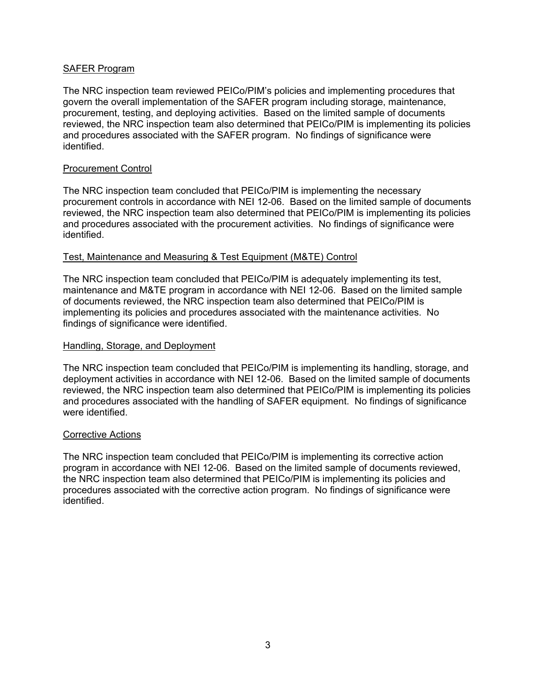## SAFER Program

The NRC inspection team reviewed PEICo/PIM's policies and implementing procedures that govern the overall implementation of the SAFER program including storage, maintenance, procurement, testing, and deploying activities. Based on the limited sample of documents reviewed, the NRC inspection team also determined that PEICo/PIM is implementing its policies and procedures associated with the SAFER program. No findings of significance were identified.

## Procurement Control

The NRC inspection team concluded that PEICo/PIM is implementing the necessary procurement controls in accordance with NEI 12-06. Based on the limited sample of documents reviewed, the NRC inspection team also determined that PEICo/PIM is implementing its policies and procedures associated with the procurement activities. No findings of significance were identified.

## Test, Maintenance and Measuring & Test Equipment (M&TE) Control

The NRC inspection team concluded that PEICo/PIM is adequately implementing its test, maintenance and M&TE program in accordance with NEI 12-06. Based on the limited sample of documents reviewed, the NRC inspection team also determined that PEICo/PIM is implementing its policies and procedures associated with the maintenance activities. No findings of significance were identified.

## Handling, Storage, and Deployment

The NRC inspection team concluded that PEICo/PIM is implementing its handling, storage, and deployment activities in accordance with NEI 12-06. Based on the limited sample of documents reviewed, the NRC inspection team also determined that PEICo/PIM is implementing its policies and procedures associated with the handling of SAFER equipment. No findings of significance were identified.

### Corrective Actions

The NRC inspection team concluded that PEICo/PIM is implementing its corrective action program in accordance with NEI 12-06. Based on the limited sample of documents reviewed, the NRC inspection team also determined that PEICo/PIM is implementing its policies and procedures associated with the corrective action program. No findings of significance were identified.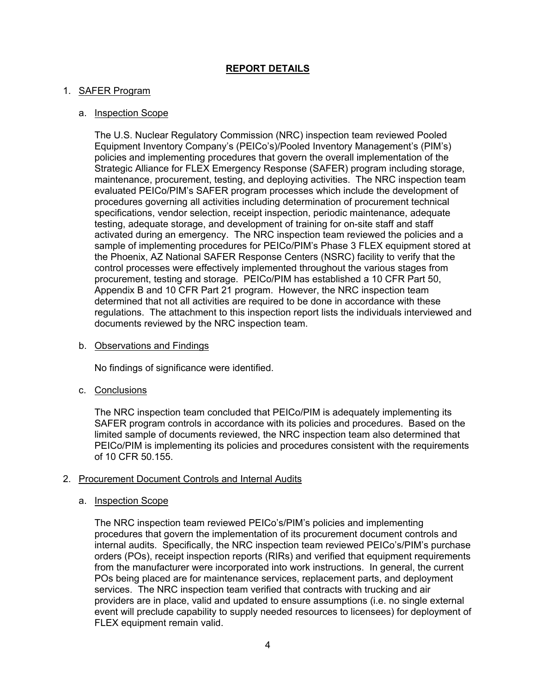# **REPORT DETAILS**

## 1. SAFER Program

## a. Inspection Scope

The U.S. Nuclear Regulatory Commission (NRC) inspection team reviewed Pooled Equipment Inventory Company's (PEICo's)/Pooled Inventory Management's (PIM's) policies and implementing procedures that govern the overall implementation of the Strategic Alliance for FLEX Emergency Response (SAFER) program including storage, maintenance, procurement, testing, and deploying activities. The NRC inspection team evaluated PEICo/PIM's SAFER program processes which include the development of procedures governing all activities including determination of procurement technical specifications, vendor selection, receipt inspection, periodic maintenance, adequate testing, adequate storage, and development of training for on-site staff and staff activated during an emergency. The NRC inspection team reviewed the policies and a sample of implementing procedures for PEICo/PIM's Phase 3 FLEX equipment stored at the Phoenix, AZ National SAFER Response Centers (NSRC) facility to verify that the control processes were effectively implemented throughout the various stages from procurement, testing and storage. PEICo/PIM has established a 10 CFR Part 50, Appendix B and 10 CFR Part 21 program. However, the NRC inspection team determined that not all activities are required to be done in accordance with these regulations. The attachment to this inspection report lists the individuals interviewed and documents reviewed by the NRC inspection team.

b. Observations and Findings

No findings of significance were identified.

c. Conclusions

The NRC inspection team concluded that PEICo/PIM is adequately implementing its SAFER program controls in accordance with its policies and procedures. Based on the limited sample of documents reviewed, the NRC inspection team also determined that PEICo/PIM is implementing its policies and procedures consistent with the requirements of 10 CFR 50.155.

### 2. Procurement Document Controls and Internal Audits

### a. Inspection Scope

The NRC inspection team reviewed PEICo's/PIM's policies and implementing procedures that govern the implementation of its procurement document controls and internal audits. Specifically, the NRC inspection team reviewed PEICo's/PIM's purchase orders (POs), receipt inspection reports (RIRs) and verified that equipment requirements from the manufacturer were incorporated into work instructions. In general, the current POs being placed are for maintenance services, replacement parts, and deployment services. The NRC inspection team verified that contracts with trucking and air providers are in place, valid and updated to ensure assumptions (i.e. no single external event will preclude capability to supply needed resources to licensees) for deployment of FLEX equipment remain valid.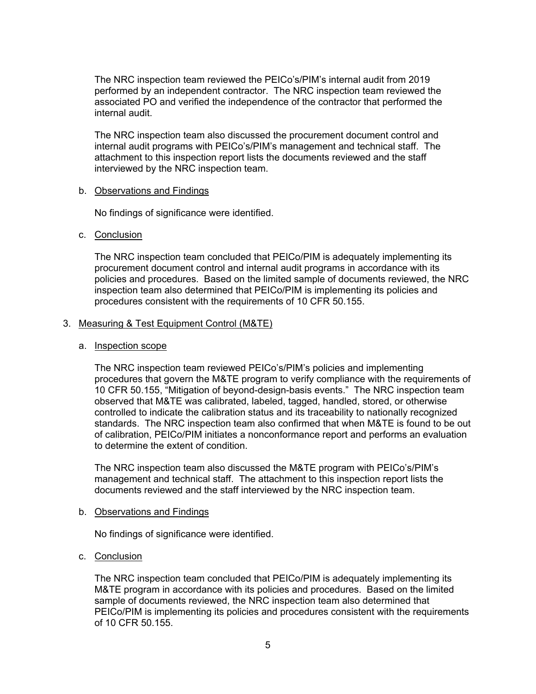The NRC inspection team reviewed the PEICo's/PIM's internal audit from 2019 performed by an independent contractor. The NRC inspection team reviewed the associated PO and verified the independence of the contractor that performed the internal audit.

The NRC inspection team also discussed the procurement document control and internal audit programs with PEICo's/PIM's management and technical staff. The attachment to this inspection report lists the documents reviewed and the staff interviewed by the NRC inspection team.

### b. Observations and Findings

No findings of significance were identified.

## c. Conclusion

The NRC inspection team concluded that PEICo/PIM is adequately implementing its procurement document control and internal audit programs in accordance with its policies and procedures. Based on the limited sample of documents reviewed, the NRC inspection team also determined that PEICo/PIM is implementing its policies and procedures consistent with the requirements of 10 CFR 50.155.

## 3. Measuring & Test Equipment Control (M&TE)

### a. Inspection scope

The NRC inspection team reviewed PEICo's/PIM's policies and implementing procedures that govern the M&TE program to verify compliance with the requirements of 10 CFR 50.155, "Mitigation of beyond-design-basis events." The NRC inspection team observed that M&TE was calibrated, labeled, tagged, handled, stored, or otherwise controlled to indicate the calibration status and its traceability to nationally recognized standards. The NRC inspection team also confirmed that when M&TE is found to be out of calibration, PEICo/PIM initiates a nonconformance report and performs an evaluation to determine the extent of condition.

The NRC inspection team also discussed the M&TE program with PEICo's/PIM's management and technical staff. The attachment to this inspection report lists the documents reviewed and the staff interviewed by the NRC inspection team.

### b. Observations and Findings

No findings of significance were identified.

## c. Conclusion

The NRC inspection team concluded that PEICo/PIM is adequately implementing its M&TE program in accordance with its policies and procedures. Based on the limited sample of documents reviewed, the NRC inspection team also determined that PEICo/PIM is implementing its policies and procedures consistent with the requirements of 10 CFR 50.155.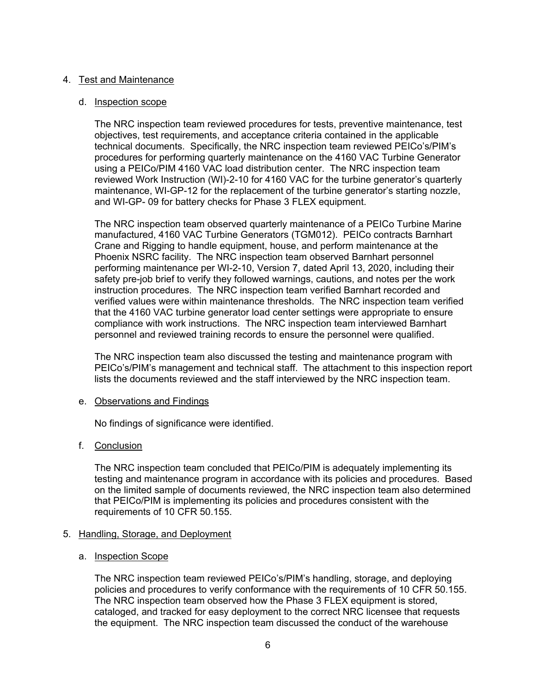## 4. Test and Maintenance

### d. Inspection scope

The NRC inspection team reviewed procedures for tests, preventive maintenance, test objectives, test requirements, and acceptance criteria contained in the applicable technical documents. Specifically, the NRC inspection team reviewed PEICo's/PIM's procedures for performing quarterly maintenance on the 4160 VAC Turbine Generator using a PEICo/PIM 4160 VAC load distribution center. The NRC inspection team reviewed Work Instruction (WI)-2-10 for 4160 VAC for the turbine generator's quarterly maintenance, WI-GP-12 for the replacement of the turbine generator's starting nozzle, and WI-GP- 09 for battery checks for Phase 3 FLEX equipment.

The NRC inspection team observed quarterly maintenance of a PEICo Turbine Marine manufactured, 4160 VAC Turbine Generators (TGM012). PEICo contracts Barnhart Crane and Rigging to handle equipment, house, and perform maintenance at the Phoenix NSRC facility. The NRC inspection team observed Barnhart personnel performing maintenance per WI-2-10, Version 7, dated April 13, 2020, including their safety pre-job brief to verify they followed warnings, cautions, and notes per the work instruction procedures. The NRC inspection team verified Barnhart recorded and verified values were within maintenance thresholds. The NRC inspection team verified that the 4160 VAC turbine generator load center settings were appropriate to ensure compliance with work instructions. The NRC inspection team interviewed Barnhart personnel and reviewed training records to ensure the personnel were qualified.

The NRC inspection team also discussed the testing and maintenance program with PEICo's/PIM's management and technical staff. The attachment to this inspection report lists the documents reviewed and the staff interviewed by the NRC inspection team.

### e. Observations and Findings

No findings of significance were identified.

### f. Conclusion

The NRC inspection team concluded that PEICo/PIM is adequately implementing its testing and maintenance program in accordance with its policies and procedures. Based on the limited sample of documents reviewed, the NRC inspection team also determined that PEICo/PIM is implementing its policies and procedures consistent with the requirements of 10 CFR 50.155.

### 5. Handling, Storage, and Deployment

### a. Inspection Scope

The NRC inspection team reviewed PEICo's/PIM's handling, storage, and deploying policies and procedures to verify conformance with the requirements of 10 CFR 50.155. The NRC inspection team observed how the Phase 3 FLEX equipment is stored, cataloged, and tracked for easy deployment to the correct NRC licensee that requests the equipment. The NRC inspection team discussed the conduct of the warehouse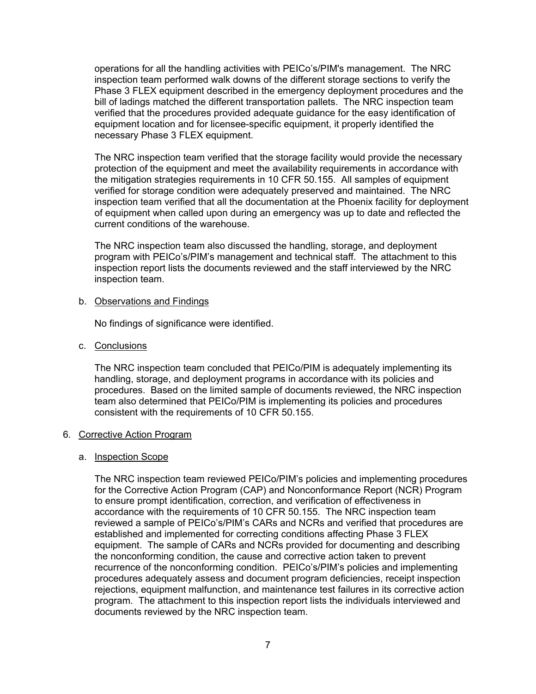operations for all the handling activities with PEICo's/PIM's management. The NRC inspection team performed walk downs of the different storage sections to verify the Phase 3 FLEX equipment described in the emergency deployment procedures and the bill of ladings matched the different transportation pallets. The NRC inspection team verified that the procedures provided adequate guidance for the easy identification of equipment location and for licensee-specific equipment, it properly identified the necessary Phase 3 FLEX equipment.

The NRC inspection team verified that the storage facility would provide the necessary protection of the equipment and meet the availability requirements in accordance with the mitigation strategies requirements in 10 CFR 50.155. All samples of equipment verified for storage condition were adequately preserved and maintained. The NRC inspection team verified that all the documentation at the Phoenix facility for deployment of equipment when called upon during an emergency was up to date and reflected the current conditions of the warehouse.

The NRC inspection team also discussed the handling, storage, and deployment program with PEICo's/PIM's management and technical staff. The attachment to this inspection report lists the documents reviewed and the staff interviewed by the NRC inspection team.

#### b. Observations and Findings

No findings of significance were identified.

#### c. Conclusions

The NRC inspection team concluded that PEICo/PIM is adequately implementing its handling, storage, and deployment programs in accordance with its policies and procedures. Based on the limited sample of documents reviewed, the NRC inspection team also determined that PEICo/PIM is implementing its policies and procedures consistent with the requirements of 10 CFR 50.155.

#### 6. Corrective Action Program

#### a. Inspection Scope

The NRC inspection team reviewed PEICo/PIM's policies and implementing procedures for the Corrective Action Program (CAP) and Nonconformance Report (NCR) Program to ensure prompt identification, correction, and verification of effectiveness in accordance with the requirements of 10 CFR 50.155. The NRC inspection team reviewed a sample of PEICo's/PIM's CARs and NCRs and verified that procedures are established and implemented for correcting conditions affecting Phase 3 FLEX equipment. The sample of CARs and NCRs provided for documenting and describing the nonconforming condition, the cause and corrective action taken to prevent recurrence of the nonconforming condition. PEICo's/PIM's policies and implementing procedures adequately assess and document program deficiencies, receipt inspection rejections, equipment malfunction, and maintenance test failures in its corrective action program. The attachment to this inspection report lists the individuals interviewed and documents reviewed by the NRC inspection team.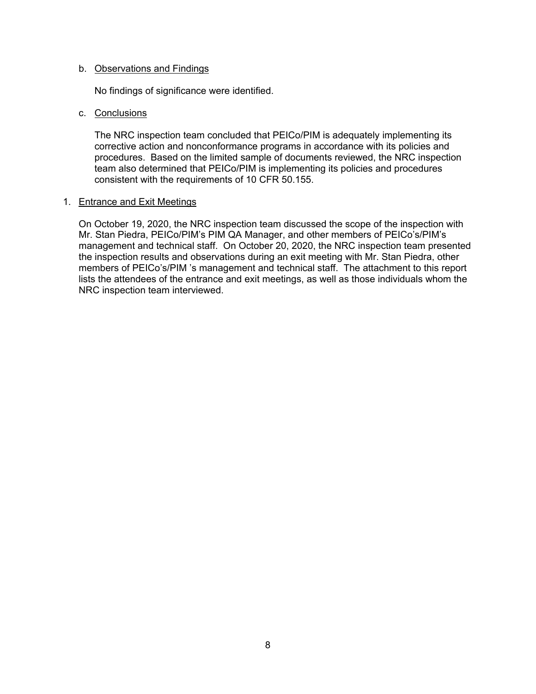## b. Observations and Findings

No findings of significance were identified.

## c. Conclusions

The NRC inspection team concluded that PEICo/PIM is adequately implementing its corrective action and nonconformance programs in accordance with its policies and procedures. Based on the limited sample of documents reviewed, the NRC inspection team also determined that PEICo/PIM is implementing its policies and procedures consistent with the requirements of 10 CFR 50.155.

### 1. Entrance and Exit Meetings

On October 19, 2020, the NRC inspection team discussed the scope of the inspection with Mr. Stan Piedra, PEICo/PIM's PIM QA Manager, and other members of PEICo's/PIM's management and technical staff. On October 20, 2020, the NRC inspection team presented the inspection results and observations during an exit meeting with Mr. Stan Piedra, other members of PEICo's/PIM 's management and technical staff. The attachment to this report lists the attendees of the entrance and exit meetings, as well as those individuals whom the NRC inspection team interviewed.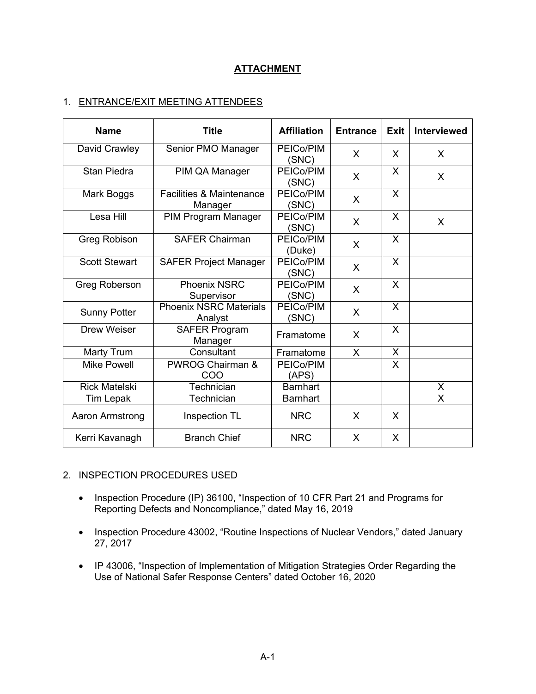# **ATTACHMENT**

# 1. ENTRANCE/EXIT MEETING ATTENDEES

| <b>Name</b>          | <b>Title</b>                                   | <b>Affiliation</b>  | <b>Entrance</b> | <b>Exit</b>             | <b>Interviewed</b> |
|----------------------|------------------------------------------------|---------------------|-----------------|-------------------------|--------------------|
| David Crawley        | Senior PMO Manager                             | PEICo/PIM<br>(SNC)  | X               | X                       | X                  |
| <b>Stan Piedra</b>   | PIM QA Manager                                 | PEICo/PIM<br>(SNC)  | X               | X                       | X                  |
| Mark Boggs           | <b>Facilities &amp; Maintenance</b><br>Manager | PEICo/PIM<br>(SNC)  | X               | X                       |                    |
| Lesa Hill            | PIM Program Manager                            | PEICo/PIM<br>(SNC)  | X               | X                       | $\sf X$            |
| Greg Robison         | <b>SAFER Chairman</b>                          | PEICo/PIM<br>(Duke) | X               | X                       |                    |
| <b>Scott Stewart</b> | <b>SAFER Project Manager</b>                   | PEICo/PIM<br>(SNC)  | X               | X                       |                    |
| <b>Greg Roberson</b> | <b>Phoenix NSRC</b><br>Supervisor              | PEICo/PIM<br>(SNC)  | $\mathsf{X}$    | X                       |                    |
| <b>Sunny Potter</b>  | <b>Phoenix NSRC Materials</b><br>Analyst       | PEICo/PIM<br>(SNC)  | X               | X                       |                    |
| <b>Drew Weiser</b>   | <b>SAFER Program</b><br>Manager                | Framatome           | X               | X                       |                    |
| Marty Trum           | Consultant                                     | Framatome           | X               | X                       |                    |
| <b>Mike Powell</b>   | <b>PWROG Chairman &amp;</b><br>COO             | PEICo/PIM<br>(APS)  |                 | $\overline{\mathsf{x}}$ |                    |
| <b>Rick Matelski</b> | Technician                                     | <b>Barnhart</b>     |                 |                         | X                  |
| Tim Lepak            | Technician                                     | <b>Barnhart</b>     |                 |                         | X                  |
| Aaron Armstrong      | Inspection TL                                  | <b>NRC</b>          | X               | X                       |                    |
| Kerri Kavanagh       | <b>Branch Chief</b>                            | <b>NRC</b>          | X               | X                       |                    |

## 2. INSPECTION PROCEDURES USED

- Inspection Procedure (IP) 36100, "Inspection of 10 CFR Part 21 and Programs for Reporting Defects and Noncompliance," dated May 16, 2019
- Inspection Procedure 43002, "Routine Inspections of Nuclear Vendors," dated January 27, 2017
- IP 43006, "Inspection of Implementation of Mitigation Strategies Order Regarding the Use of National Safer Response Centers" dated October 16, 2020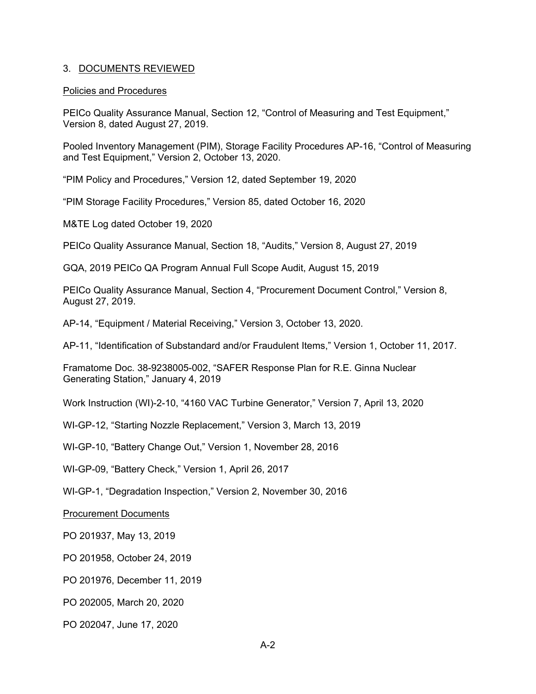## 3. DOCUMENTS REVIEWED

#### Policies and Procedures

PEICo Quality Assurance Manual, Section 12, "Control of Measuring and Test Equipment," Version 8, dated August 27, 2019.

Pooled Inventory Management (PIM), Storage Facility Procedures AP-16, "Control of Measuring and Test Equipment," Version 2, October 13, 2020.

"PIM Policy and Procedures," Version 12, dated September 19, 2020

"PIM Storage Facility Procedures," Version 85, dated October 16, 2020

M&TE Log dated October 19, 2020

PEICo Quality Assurance Manual, Section 18, "Audits," Version 8, August 27, 2019

GQA, 2019 PEICo QA Program Annual Full Scope Audit, August 15, 2019

PEICo Quality Assurance Manual, Section 4, "Procurement Document Control," Version 8, August 27, 2019.

AP-14, "Equipment / Material Receiving," Version 3, October 13, 2020.

AP-11, "Identification of Substandard and/or Fraudulent Items," Version 1, October 11, 2017.

Framatome Doc. 38-9238005-002, "SAFER Response Plan for R.E. Ginna Nuclear Generating Station," January 4, 2019

Work Instruction (WI)-2-10, "4160 VAC Turbine Generator," Version 7, April 13, 2020

WI-GP-12, "Starting Nozzle Replacement," Version 3, March 13, 2019

WI-GP-10, "Battery Change Out," Version 1, November 28, 2016

WI-GP-09, "Battery Check," Version 1, April 26, 2017

WI-GP-1, "Degradation Inspection," Version 2, November 30, 2016

Procurement Documents

PO 201937, May 13, 2019

PO 201958, October 24, 2019

PO 201976, December 11, 2019

PO 202005, March 20, 2020

PO 202047, June 17, 2020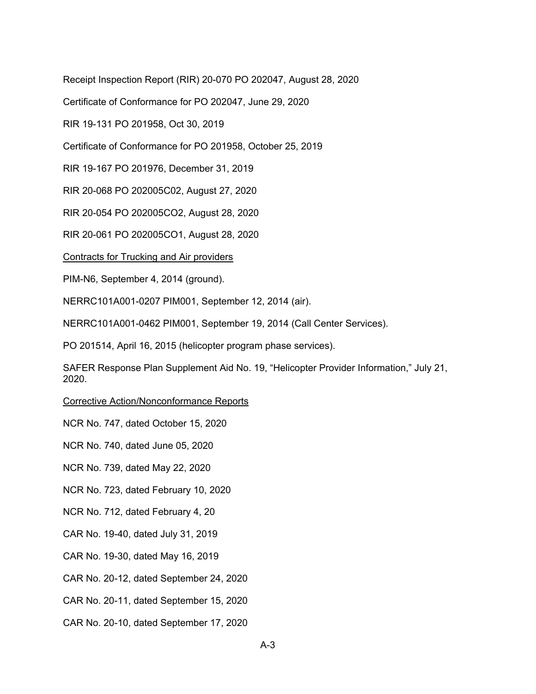Receipt Inspection Report (RIR) 20-070 PO 202047, August 28, 2020

Certificate of Conformance for PO 202047, June 29, 2020

RIR 19-131 PO 201958, Oct 30, 2019

Certificate of Conformance for PO 201958, October 25, 2019

RIR 19-167 PO 201976, December 31, 2019

RIR 20-068 PO 202005C02, August 27, 2020

RIR 20-054 PO 202005CO2, August 28, 2020

RIR 20-061 PO 202005CO1, August 28, 2020

Contracts for Trucking and Air providers

PIM-N6, September 4, 2014 (ground).

NERRC101A001-0207 PIM001, September 12, 2014 (air).

NERRC101A001-0462 PIM001, September 19, 2014 (Call Center Services).

PO 201514, April 16, 2015 (helicopter program phase services).

SAFER Response Plan Supplement Aid No. 19, "Helicopter Provider Information," July 21, 2020.

Corrective Action/Nonconformance Reports

NCR No. 747, dated October 15, 2020

NCR No. 740, dated June 05, 2020

NCR No. 739, dated May 22, 2020

NCR No. 723, dated February 10, 2020

NCR No. 712, dated February 4, 20

CAR No. 19-40, dated July 31, 2019

CAR No. 19-30, dated May 16, 2019

CAR No. 20-12, dated September 24, 2020

CAR No. 20-11, dated September 15, 2020

CAR No. 20-10, dated September 17, 2020